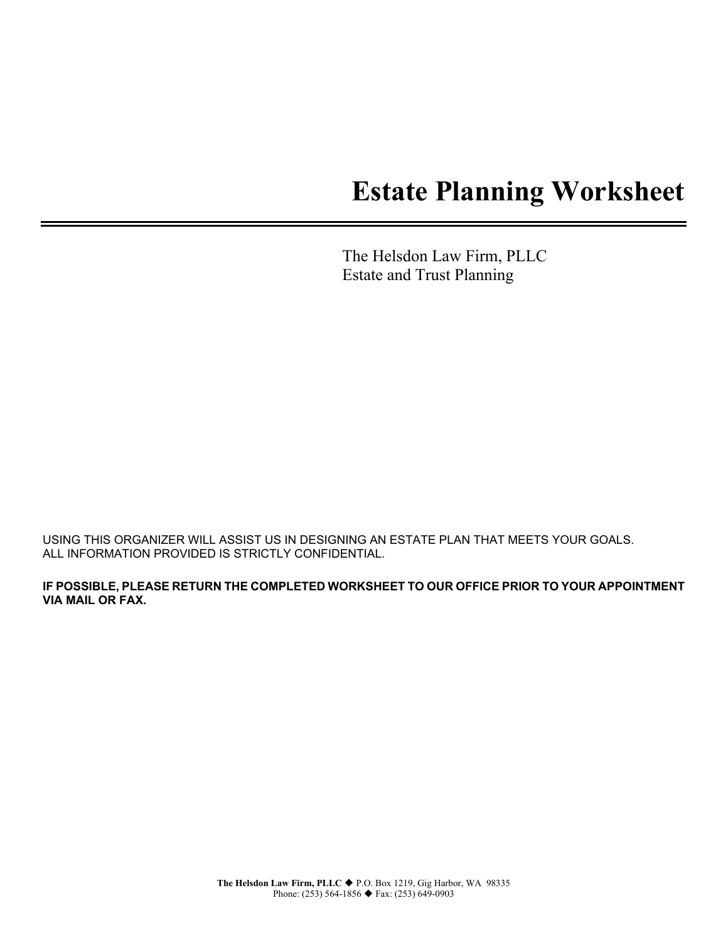# **Estate Planning Worksheet**

The Helsdon Law Firm, PLLC Estate and Trust Planning

USING THIS ORGANIZER WILL ASSIST US IN DESIGNING AN ESTATE PLAN THAT MEETS YOUR GOALS. ALL INFORMATION PROVIDED IS STRICTLY CONFIDENTIAL.

**IF POSSIBLE, PLEASE RETURN THE COMPLETED WORKSHEET TO OUR OFFICE PRIOR TO YOUR APPOINTMENT VIA MAIL OR FAX.**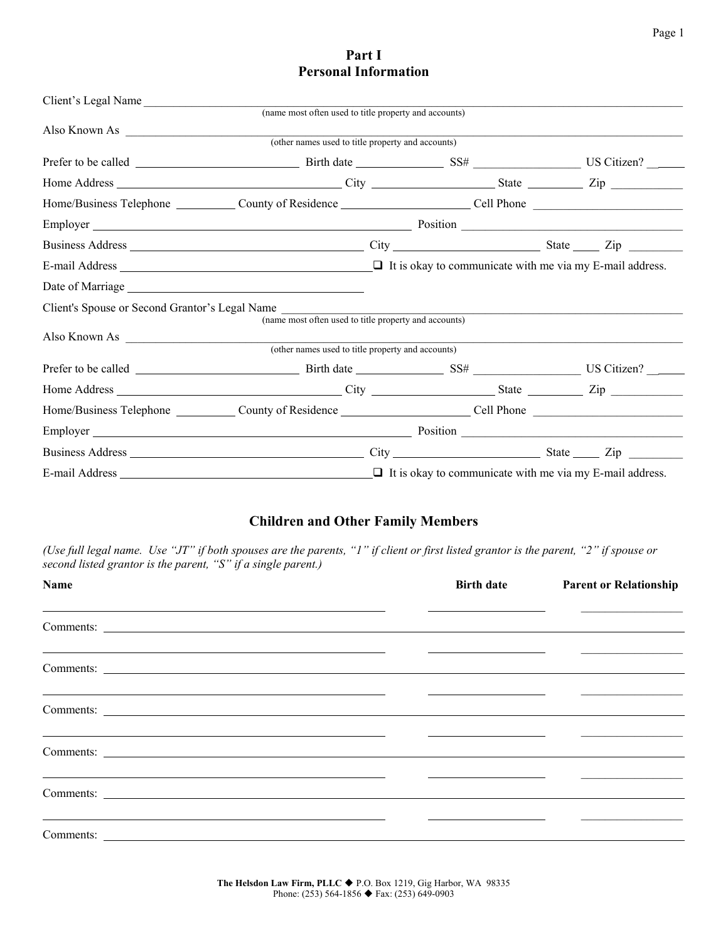# **Part I Personal Information**

| Also Known As (other names used to title property and accounts)                                         |                                                                 |                                                                                                                                                                                                                               |  |
|---------------------------------------------------------------------------------------------------------|-----------------------------------------------------------------|-------------------------------------------------------------------------------------------------------------------------------------------------------------------------------------------------------------------------------|--|
|                                                                                                         |                                                                 |                                                                                                                                                                                                                               |  |
|                                                                                                         |                                                                 |                                                                                                                                                                                                                               |  |
|                                                                                                         |                                                                 |                                                                                                                                                                                                                               |  |
|                                                                                                         |                                                                 |                                                                                                                                                                                                                               |  |
| Employer Position Position Position Position                                                            |                                                                 |                                                                                                                                                                                                                               |  |
|                                                                                                         |                                                                 |                                                                                                                                                                                                                               |  |
|                                                                                                         |                                                                 |                                                                                                                                                                                                                               |  |
|                                                                                                         |                                                                 |                                                                                                                                                                                                                               |  |
| Client's Spouse or Second Grantor's Legal Name<br>(name most often used to title property and accounts) |                                                                 | the control of the control of the control of the control of the control of the control of the control of the control of the control of the control of the control of the control of the control of the control of the control |  |
| Also Known As (other names used to title property and accounts)                                         |                                                                 | <u> 1989 - Johann John Stein, mars et al. (</u> † 1920)                                                                                                                                                                       |  |
|                                                                                                         |                                                                 |                                                                                                                                                                                                                               |  |
|                                                                                                         |                                                                 |                                                                                                                                                                                                                               |  |
|                                                                                                         |                                                                 |                                                                                                                                                                                                                               |  |
|                                                                                                         |                                                                 |                                                                                                                                                                                                                               |  |
| Employer Position Position Position Position                                                            |                                                                 |                                                                                                                                                                                                                               |  |
|                                                                                                         |                                                                 |                                                                                                                                                                                                                               |  |
|                                                                                                         | $\Box$ It is okay to communicate with me via my E-mail address. |                                                                                                                                                                                                                               |  |

# **Children and Other Family Members**

*(Use full legal name. Use "JT" if both spouses are the parents, "1" if client or first listed grantor is the parent, "2" if spouse or second listed grantor is the parent, "S" if a single parent.)*

| Name                                                                                                                                                                                                                                | <b>Birth date</b> | <b>Parent or Relationship</b>                                                                                               |
|-------------------------------------------------------------------------------------------------------------------------------------------------------------------------------------------------------------------------------------|-------------------|-----------------------------------------------------------------------------------------------------------------------------|
| <u> 1989 - Andrea Santa Andrea Santa Andrea Santa Andrea Santa Andrea Santa Andrea Santa Andrea Santa Andrea San</u>                                                                                                                |                   | <u> 1989 - Andrea Andrew Maria (h. 1989).</u>                                                                               |
|                                                                                                                                                                                                                                     |                   | <u> 2000 - Andrea Andrew Maria (b. 1989)</u>                                                                                |
| <u> 1989 - Andrea Santa Andrea Santa Andrea Santa Andrea Santa Andrea Santa Andrea Santa Andrea Santa Andrea San</u>                                                                                                                |                   | <u> 1989 - Johann Harry Harry Harry Harry Harry Harry Harry Harry Harry Harry Harry Harry Harry Harry Harry Harry</u>       |
| <u> 1989 - Andrea Santa Andrea Andrea Andrea Andrea Andrea Andrea Andrea Andrea Andrea Andrea Andrea Andrea Andr</u>                                                                                                                |                   | <u> 1980 - Johann Stein, mars an deutscher Stein und der Stein und der Stein und der Stein und der Stein und der</u>        |
| Comments: <u>example</u> and the comments of the comments of the comments of the comments of the comments of the comments of the comments of the comments of the comments of the comments of the comments of the comments of the co |                   | <u> 2000 - Andrea Andrew Maria (</u> 1980), president al provincia de la construcción de la construcción de la construcción |
| <u> 1989 - Andrea Andrea Andrea Andrea Andrea Andrea Andrea Andrea Andrea Andrea Andrea Andrea Andrea Andrea And</u>                                                                                                                |                   |                                                                                                                             |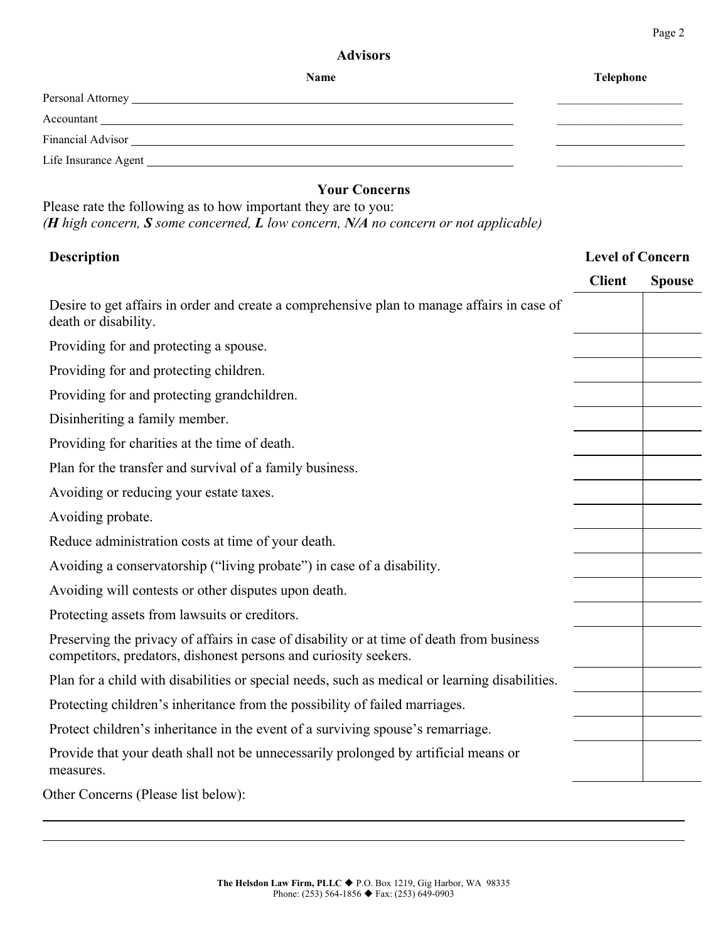### **Advisors**

| Name                                                                                                                                                                                                                          | <b>Telephone</b> |
|-------------------------------------------------------------------------------------------------------------------------------------------------------------------------------------------------------------------------------|------------------|
|                                                                                                                                                                                                                               |                  |
| Accountant                                                                                                                                                                                                                    |                  |
|                                                                                                                                                                                                                               |                  |
| Life Insurance Agent Life is a state of the state of the state of the state of the state of the state of the state of the state of the state of the state of the state of the state of the state of the state of the state of |                  |

# **Your Concerns**

Please rate the following as to how important they are to you: *(H high concern, S some concerned, L low concern, N/A no concern or not applicable)* 

# **Description Level of Concern**

|                                                                                                                                                               | <b>Client</b> | <b>Spouse</b> |
|---------------------------------------------------------------------------------------------------------------------------------------------------------------|---------------|---------------|
| Desire to get affairs in order and create a comprehensive plan to manage affairs in case of<br>death or disability.                                           |               |               |
| Providing for and protecting a spouse.                                                                                                                        |               |               |
| Providing for and protecting children.                                                                                                                        |               |               |
| Providing for and protecting grandchildren.                                                                                                                   |               |               |
| Disinheriting a family member.                                                                                                                                |               |               |
| Providing for charities at the time of death.                                                                                                                 |               |               |
| Plan for the transfer and survival of a family business.                                                                                                      |               |               |
| Avoiding or reducing your estate taxes.                                                                                                                       |               |               |
| Avoiding probate.                                                                                                                                             |               |               |
| Reduce administration costs at time of your death.                                                                                                            |               |               |
| Avoiding a conservatorship ("living probate") in case of a disability.                                                                                        |               |               |
| Avoiding will contests or other disputes upon death.                                                                                                          |               |               |
| Protecting assets from lawsuits or creditors.                                                                                                                 |               |               |
| Preserving the privacy of affairs in case of disability or at time of death from business<br>competitors, predators, dishonest persons and curiosity seekers. |               |               |
| Plan for a child with disabilities or special needs, such as medical or learning disabilities.                                                                |               |               |
| Protecting children's inheritance from the possibility of failed marriages.                                                                                   |               |               |
| Protect children's inheritance in the event of a surviving spouse's remarriage.                                                                               |               |               |
| Provide that your death shall not be unnecessarily prolonged by artificial means or<br>measures.                                                              |               |               |
| Other Concerns (Please list below):                                                                                                                           |               |               |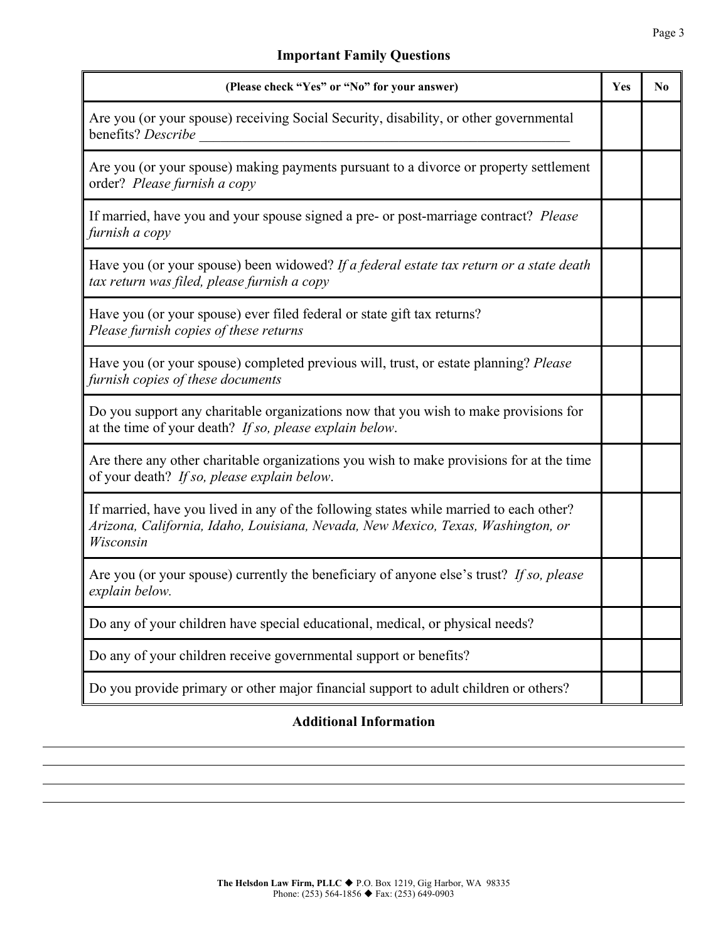# **Important Family Questions**

| (Please check "Yes" or "No" for your answer)                                                                                                                                            | Yes | $\bf No$ |
|-----------------------------------------------------------------------------------------------------------------------------------------------------------------------------------------|-----|----------|
| Are you (or your spouse) receiving Social Security, disability, or other governmental<br>benefits? Describe                                                                             |     |          |
| Are you (or your spouse) making payments pursuant to a divorce or property settlement<br>order? Please furnish a copy                                                                   |     |          |
| If married, have you and your spouse signed a pre- or post-marriage contract? Please<br>furnish a copy                                                                                  |     |          |
| Have you (or your spouse) been widowed? If a federal estate tax return or a state death<br>tax return was filed, please furnish a copy                                                  |     |          |
| Have you (or your spouse) ever filed federal or state gift tax returns?<br>Please furnish copies of these returns                                                                       |     |          |
| Have you (or your spouse) completed previous will, trust, or estate planning? Please<br>furnish copies of these documents                                                               |     |          |
| Do you support any charitable organizations now that you wish to make provisions for<br>at the time of your death? If so, please explain below.                                         |     |          |
| Are there any other charitable organizations you wish to make provisions for at the time<br>of your death? If so, please explain below.                                                 |     |          |
| If married, have you lived in any of the following states while married to each other?<br>Arizona, California, Idaho, Louisiana, Nevada, New Mexico, Texas, Washington, or<br>Wisconsin |     |          |
| Are you (or your spouse) currently the beneficiary of anyone else's trust? If so, please<br>explain below.                                                                              |     |          |
| Do any of your children have special educational, medical, or physical needs?                                                                                                           |     |          |
| Do any of your children receive governmental support or benefits?                                                                                                                       |     |          |
| Do you provide primary or other major financial support to adult children or others?                                                                                                    |     |          |

# **Additional Information**

l l l l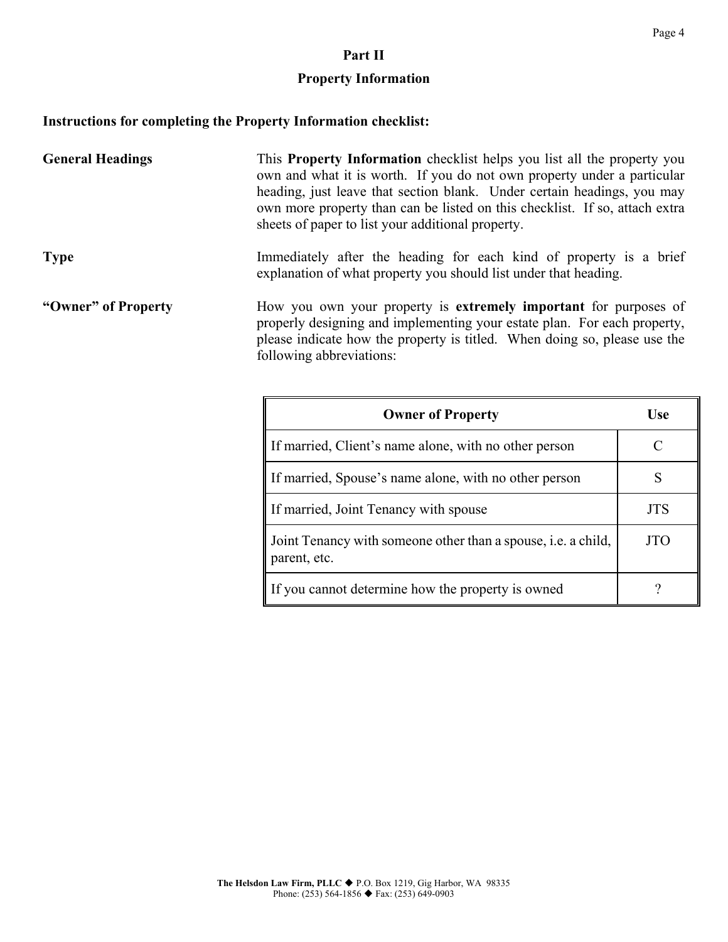#### **Part II**

# **Property Information**

# **Instructions for completing the Property Information checklist:**

| <b>General Headings</b> | This Property Information checklist helps you list all the property you<br>own and what it is worth. If you do not own property under a particular<br>heading, just leave that section blank. Under certain headings, you may<br>own more property than can be listed on this checklist. If so, attach extra<br>sheets of paper to list your additional property. |
|-------------------------|-------------------------------------------------------------------------------------------------------------------------------------------------------------------------------------------------------------------------------------------------------------------------------------------------------------------------------------------------------------------|
| <b>Type</b>             | Immediately after the heading for each kind of property is a brief<br>explanation of what property you should list under that heading.                                                                                                                                                                                                                            |
| "Owner" of Property     | How you own your property is extremely important for purposes of<br>properly designing and implementing your estate plan. For each property,<br>please indicate how the property is titled. When doing so, please use the<br>following abbreviations:                                                                                                             |

| <b>Owner of Property</b>                                                             | Use |
|--------------------------------------------------------------------------------------|-----|
| If married, Client's name alone, with no other person                                |     |
| If married, Spouse's name alone, with no other person                                |     |
| If married, Joint Tenancy with spouse                                                | JTS |
| Joint Tenancy with someone other than a spouse, <i>i.e.</i> a child,<br>parent, etc. | TTC |
| If you cannot determine how the property is owned                                    |     |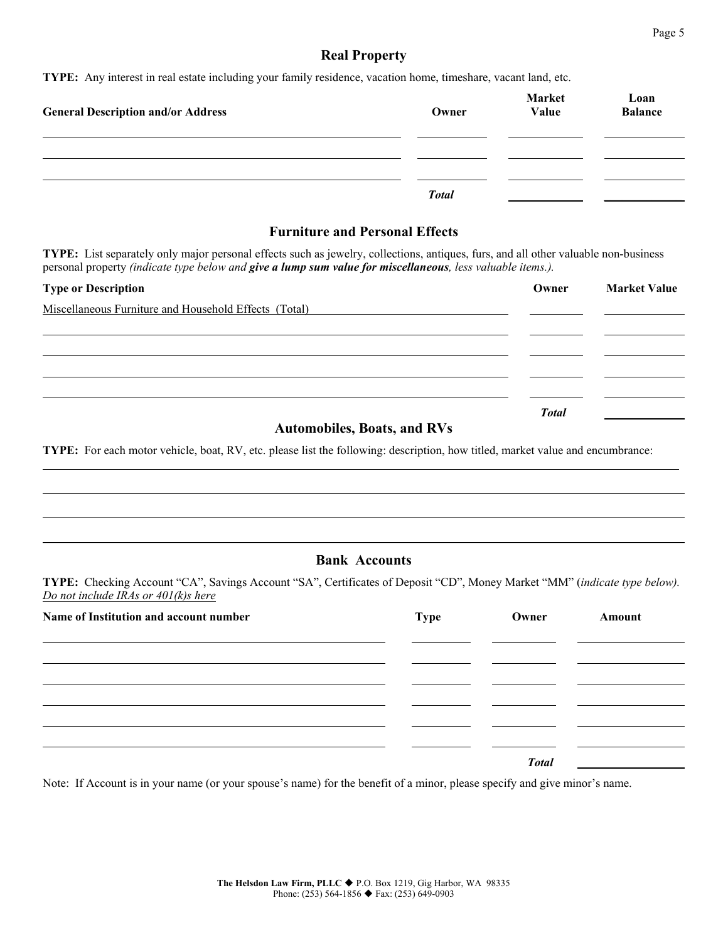#### Page 5

#### **Real Property**

**TYPE:** Any interest in real estate including your family residence, vacation home, timeshare, vacant land, etc.

| <b>General Description and/or Address</b> | Owner        | Market<br>Value | Loan<br><b>Balance</b> |
|-------------------------------------------|--------------|-----------------|------------------------|
|                                           |              |                 |                        |
|                                           | <b>Total</b> |                 |                        |

### **Furniture and Personal Effects**

**TYPE:** List separately only major personal effects such as jewelry, collections, antiques, furs, and all other valuable non-business personal property *(indicate type below and give a lump sum value for miscellaneous, less valuable items.).*

| <b>Type or Description</b>                            | Owner        | <b>Market Value</b> |
|-------------------------------------------------------|--------------|---------------------|
| Miscellaneous Furniture and Household Effects (Total) |              |                     |
|                                                       |              |                     |
|                                                       |              |                     |
|                                                       |              |                     |
|                                                       |              |                     |
|                                                       | <b>Total</b> |                     |
| $\mathbf{r}$ and $\mathbf{r}$ and $\mathbf{r}$        |              |                     |

#### **Automobiles, Boats, and RVs**

**TYPE:** For each motor vehicle, boat, RV, etc. please list the following: description, how titled, market value and encumbrance:

#### **Bank Accounts**

**TYPE:** Checking Account "CA", Savings Account "SA", Certificates of Deposit "CD", Money Market "MM" (*indicate type below). Do not include IRAs or 401(k)s here*

| Name of Institution and account number | Type | Owner        | Amount |
|----------------------------------------|------|--------------|--------|
|                                        |      |              |        |
|                                        |      |              |        |
|                                        |      |              |        |
|                                        |      |              |        |
|                                        |      |              |        |
|                                        |      | <b>Total</b> |        |

Note: If Account is in your name (or your spouse's name) for the benefit of a minor, please specify and give minor's name.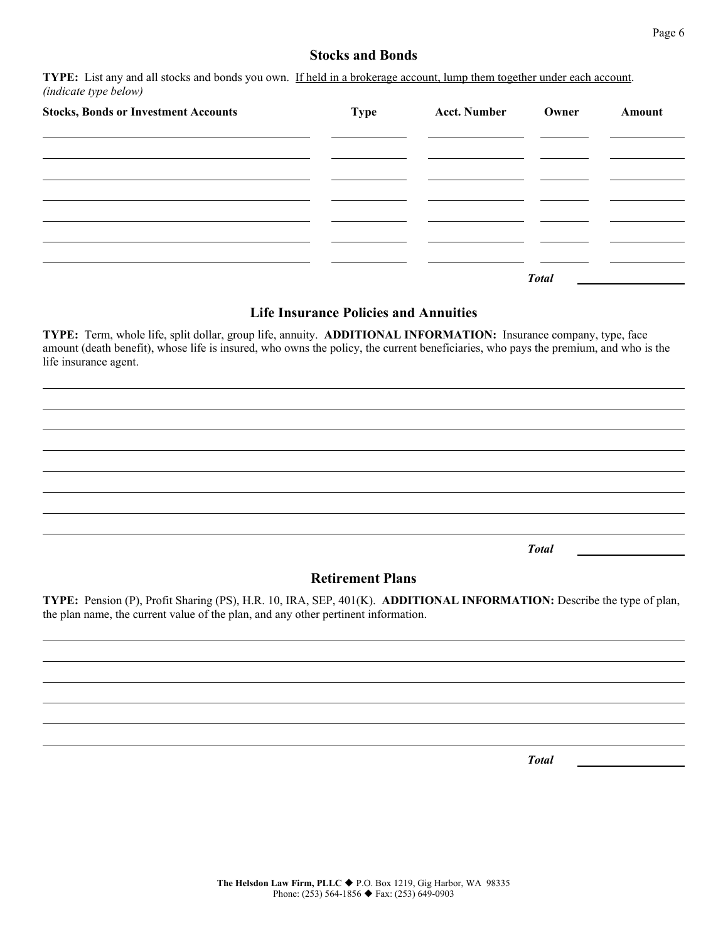# **Stocks and Bonds**

**TYPE:** List any and all stocks and bonds you own. If held in a brokerage account, lump them together under each account. *(indicate type below)*

| <b>Stocks, Bonds or Investment Accounts</b> | <b>Type</b> | <b>Acct. Number</b> | Owner        | Amount |
|---------------------------------------------|-------------|---------------------|--------------|--------|
|                                             |             |                     |              |        |
|                                             |             |                     |              |        |
|                                             |             |                     |              |        |
|                                             |             |                     |              |        |
|                                             |             |                     | <b>Total</b> |        |

#### **Life Insurance Policies and Annuities**

**TYPE:** Term, whole life, split dollar, group life, annuity. **ADDITIONAL INFORMATION:** Insurance company, type, face amount (death benefit), whose life is insured, who owns the policy, the current beneficiaries, who pays the premium, and who is the life insurance agent.

*Total*

#### **Retirement Plans**

**TYPE:** Pension (P), Profit Sharing (PS), H.R. 10, IRA, SEP, 401(K). **ADDITIONAL INFORMATION:** Describe the type of plan, the plan name, the current value of the plan, and any other pertinent information.

*Total*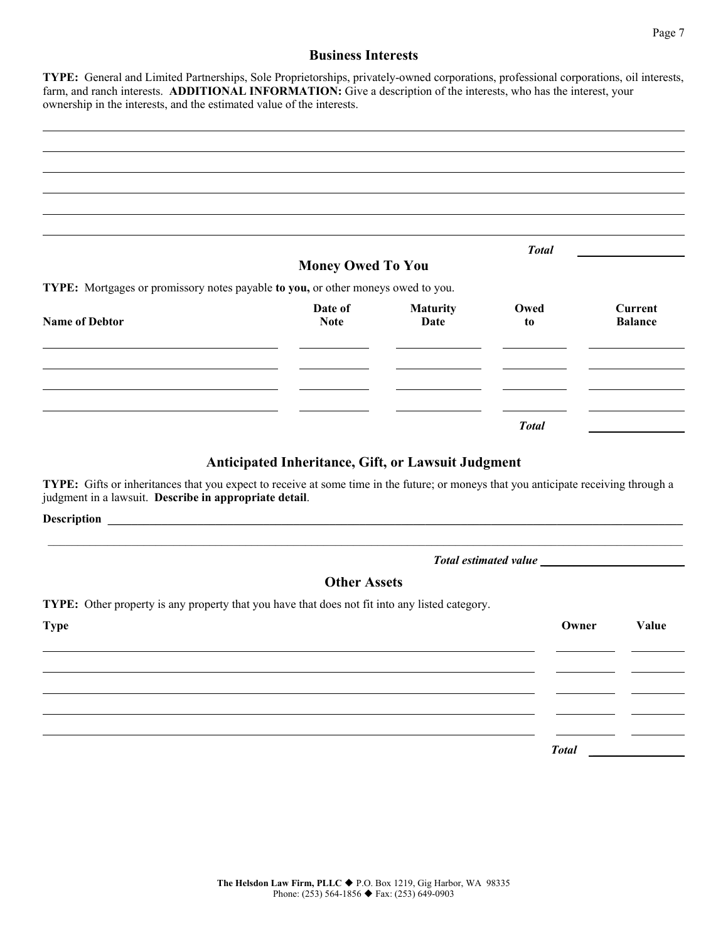#### **Business Interests**

**TYPE:** General and Limited Partnerships, Sole Proprietorships, privately-owned corporations, professional corporations, oil interests, farm, and ranch interests. **ADDITIONAL INFORMATION:** Give a description of the interests, who has the interest, your ownership in the interests, and the estimated value of the interests.

|                                                                                  |                          |                 | <b>Total</b> |                |
|----------------------------------------------------------------------------------|--------------------------|-----------------|--------------|----------------|
| TYPE: Mortgages or promissory notes payable to you, or other moneys owed to you. | <b>Money Owed To You</b> |                 |              |                |
|                                                                                  | Date of                  | <b>Maturity</b> | Owed         | Current        |
| <b>Name of Debtor</b>                                                            | <b>Note</b>              | <b>Date</b>     | to           | <b>Balance</b> |
|                                                                                  |                          |                 |              |                |
|                                                                                  |                          |                 |              |                |
|                                                                                  |                          |                 |              |                |
|                                                                                  |                          |                 | <b>Total</b> |                |

#### **Anticipated Inheritance, Gift, or Lawsuit Judgment**

**TYPE:** Gifts or inheritances that you expect to receive at some time in the future; or moneys that you anticipate receiving through a judgment in a lawsuit. **Describe in appropriate detail**.

**Description** 

#### *Total estimated value* 1

### **Other Assets**

\_\_\_\_\_\_\_\_\_\_\_\_\_\_\_\_\_\_\_\_\_\_\_\_\_\_\_\_\_\_\_\_\_\_\_\_\_\_\_\_\_\_\_\_\_\_\_\_\_\_\_\_\_\_\_\_\_\_\_\_\_\_\_\_\_\_\_\_\_\_\_\_\_\_\_\_\_\_\_\_\_\_\_\_\_\_\_\_\_\_\_\_\_\_\_\_\_\_\_\_\_\_\_\_\_\_

**TYPE:** Other property is any property that you have that does not fit into any listed category.

| <b>Type</b> | Owner        | Value |
|-------------|--------------|-------|
|             |              |       |
|             |              |       |
|             |              |       |
|             |              |       |
|             | <b>Total</b> |       |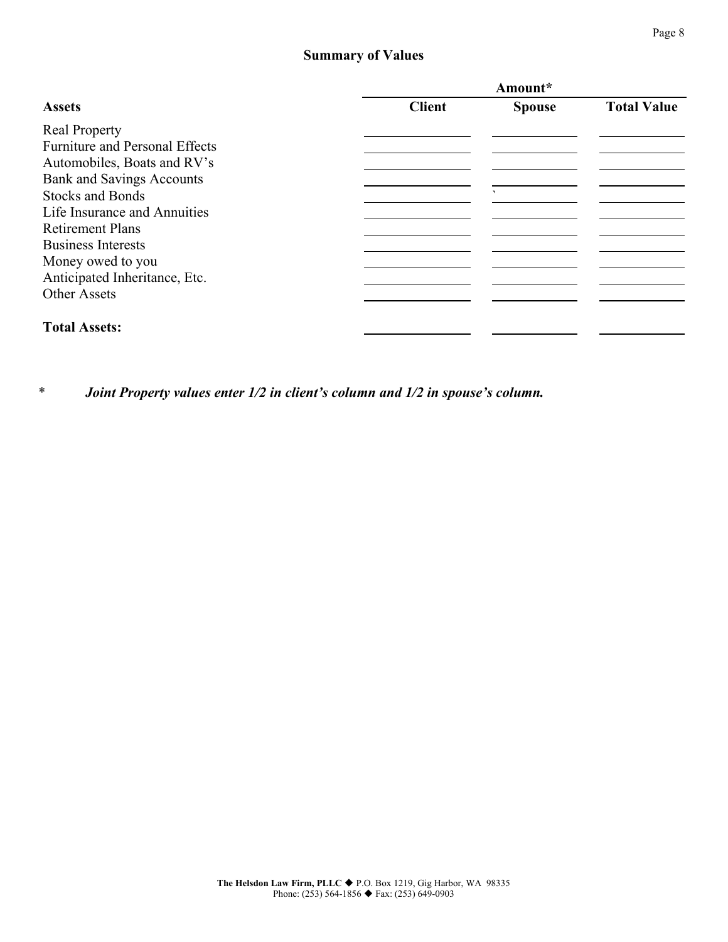# **Summary of Values**

|                                       | Amount*       |               |                    |
|---------------------------------------|---------------|---------------|--------------------|
| <b>Assets</b>                         | <b>Client</b> | <b>Spouse</b> | <b>Total Value</b> |
| <b>Real Property</b>                  |               |               |                    |
| <b>Furniture and Personal Effects</b> |               |               |                    |
| Automobiles, Boats and RV's           |               |               |                    |
| <b>Bank and Savings Accounts</b>      |               |               |                    |
| <b>Stocks and Bonds</b>               |               | $\mathbf{v}$  |                    |
| Life Insurance and Annuities          |               |               |                    |
| <b>Retirement Plans</b>               |               |               |                    |
| <b>Business Interests</b>             |               |               |                    |
| Money owed to you                     |               |               |                    |
| Anticipated Inheritance, Etc.         |               |               |                    |
| <b>Other Assets</b>                   |               |               |                    |
| <b>Total Assets:</b>                  |               |               |                    |

*\* Joint Property values enter 1/2 in client's column and 1/2 in spouse's column.*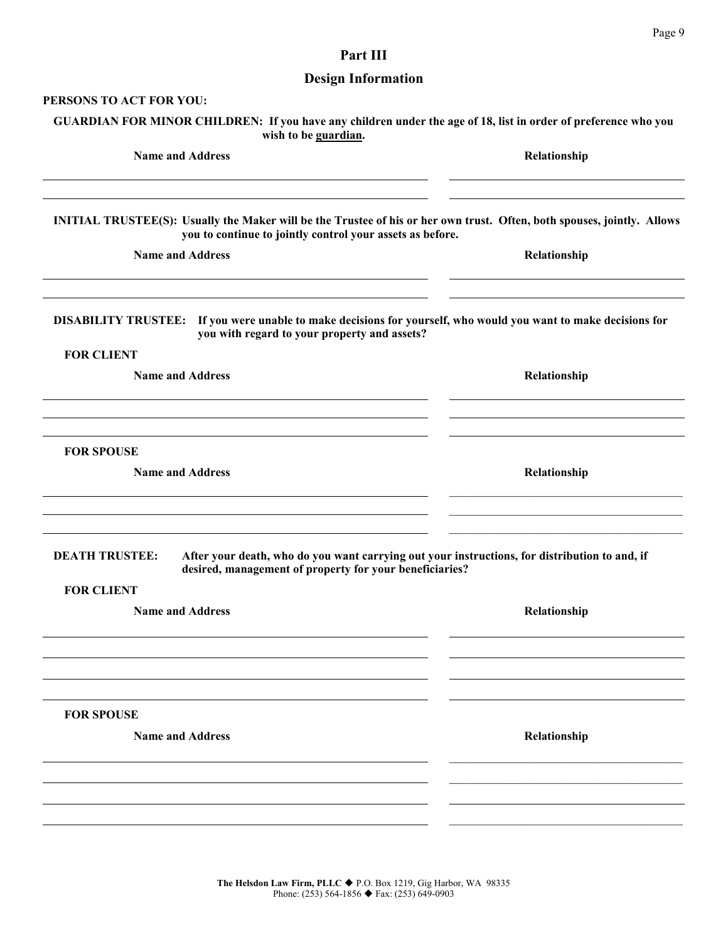# **Part III**

# **Design Information**

| PERSONS TO ACT FOR YOU:                                                                                                                                                                     |              |
|---------------------------------------------------------------------------------------------------------------------------------------------------------------------------------------------|--------------|
| GUARDIAN FOR MINOR CHILDREN: If you have any children under the age of 18, list in order of preference who you<br>wish to be guardian.                                                      |              |
| <b>Name and Address</b>                                                                                                                                                                     | Relationship |
| <b>INITIAL TRUSTEE(S): Usually the Maker will be the Trustee of his or her own trust. Often, both spouses, jointly. Allows</b><br>you to continue to jointly control your assets as before. |              |
| <b>Name and Address</b>                                                                                                                                                                     | Relationship |
| DISABILITY TRUSTEE: If you were unable to make decisions for yourself, who would you want to make decisions for<br>you with regard to your property and assets?<br><b>FOR CLIENT</b>        |              |
| <b>Name and Address</b>                                                                                                                                                                     | Relationship |
| <b>FOR SPOUSE</b><br><b>Name and Address</b>                                                                                                                                                | Relationship |
| <b>DEATH TRUSTEE:</b><br>After your death, who do you want carrying out your instructions, for distribution to and, if                                                                      |              |
| desired, management of property for your beneficiaries?<br><b>FOR CLIENT</b><br><b>Name and Address</b>                                                                                     | Relationship |
|                                                                                                                                                                                             |              |
| <b>FOR SPOUSE</b>                                                                                                                                                                           |              |
| <b>Name and Address</b>                                                                                                                                                                     | Relationship |
|                                                                                                                                                                                             |              |
|                                                                                                                                                                                             |              |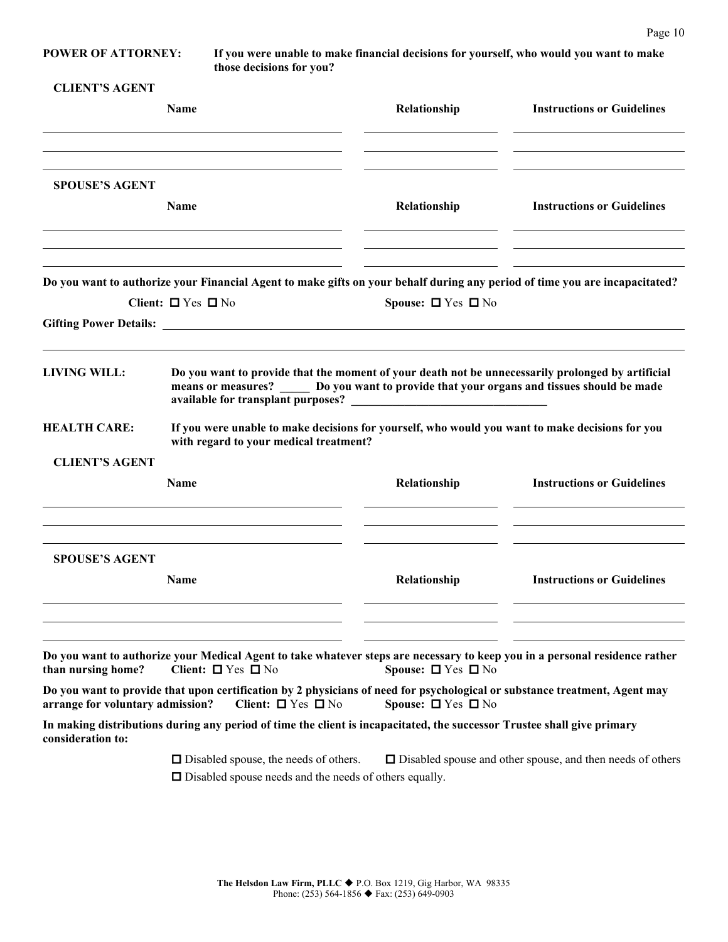**POWER OF ATTORNEY: If you were unable to make financial decisions for yourself, who would you want to make those decisions for you?**

| <b>CLIENT'S AGENT</b> |  |
|-----------------------|--|
|-----------------------|--|

|                                  | Name                                                                                                                                                                                              | Relationship                 | <b>Instructions or Guidelines</b>                                 |
|----------------------------------|---------------------------------------------------------------------------------------------------------------------------------------------------------------------------------------------------|------------------------------|-------------------------------------------------------------------|
| <b>SPOUSE'S AGENT</b>            | <b>Name</b>                                                                                                                                                                                       | Relationship                 | <b>Instructions or Guidelines</b>                                 |
|                                  |                                                                                                                                                                                                   |                              |                                                                   |
|                                  | Do you want to authorize your Financial Agent to make gifts on your behalf during any period of time you are incapacitated?                                                                       |                              |                                                                   |
|                                  | Client: $\Box$ Yes $\Box$ No                                                                                                                                                                      | Spouse: $\Box$ Yes $\Box$ No |                                                                   |
| <b>LIVING WILL:</b>              | Do you want to provide that the moment of your death not be unnecessarily prolonged by artificial<br>means or measures? ______ Do you want to provide that your organs and tissues should be made |                              |                                                                   |
| <b>HEALTH CARE:</b>              | If you were unable to make decisions for yourself, who would you want to make decisions for you<br>with regard to your medical treatment?                                                         |                              |                                                                   |
| <b>CLIENT'S AGENT</b>            |                                                                                                                                                                                                   |                              |                                                                   |
|                                  | <b>Name</b>                                                                                                                                                                                       | Relationship                 | <b>Instructions or Guidelines</b>                                 |
| <b>SPOUSE'S AGENT</b>            |                                                                                                                                                                                                   |                              |                                                                   |
|                                  | Name                                                                                                                                                                                              | Relationship                 | <b>Instructions or Guidelines</b>                                 |
| than nursing home?               | Do you want to authorize your Medical Agent to take whatever steps are necessary to keep you in a personal residence rather<br>Client: $\Box$ Yes $\Box$ No                                       | Spouse: $\Box$ Yes $\Box$ No |                                                                   |
| arrange for voluntary admission? | Do you want to provide that upon certification by 2 physicians of need for psychological or substance treatment, Agent may<br>Client: $\Box$ Yes $\Box$ No                                        | Spouse: $\Box$ Yes $\Box$ No |                                                                   |
| consideration to:                | In making distributions during any period of time the client is incapacitated, the successor Trustee shall give primary                                                                           |                              |                                                                   |
|                                  | $\Box$ Disabled spouse, the needs of others.<br>$\Box$ Disabled spouse needs and the needs of others equally.                                                                                     |                              | $\Box$ Disabled spouse and other spouse, and then needs of others |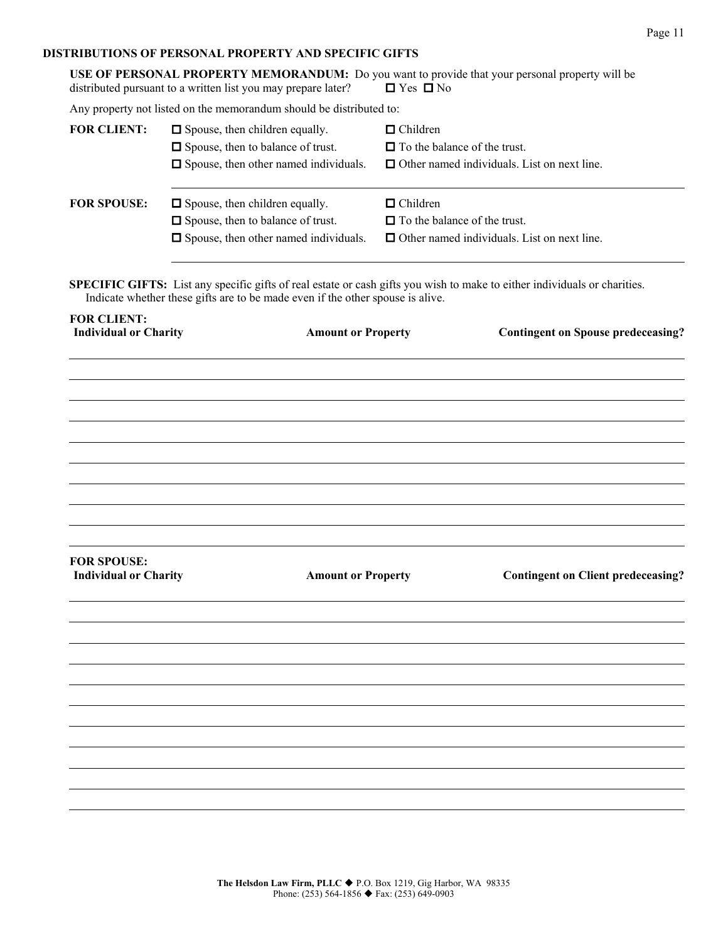#### **DISTRIBUTIONS OF PERSONAL PROPERTY AND SPECIFIC GIFTS**

|                                                    | distributed pursuant to a written list you may prepare later?                                                                |                           | $\Box$ Yes $\Box$ No                                   | USE OF PERSONAL PROPERTY MEMORANDUM: Do you want to provide that your personal property will be                           |
|----------------------------------------------------|------------------------------------------------------------------------------------------------------------------------------|---------------------------|--------------------------------------------------------|---------------------------------------------------------------------------------------------------------------------------|
|                                                    | Any property not listed on the memorandum should be distributed to:                                                          |                           |                                                        |                                                                                                                           |
| <b>FOR CLIENT:</b>                                 | $\Box$ Spouse, then children equally.<br>□ Spouse, then to balance of trust.<br>$\Box$ Spouse, then other named individuals. |                           | $\Box$ Children<br>$\Box$ To the balance of the trust. | $\Box$ Other named individuals. List on next line.                                                                        |
| <b>FOR SPOUSE:</b>                                 | $\Box$ Spouse, then children equally.<br>□ Spouse, then to balance of trust.<br>$\Box$ Spouse, then other named individuals. |                           | $\Box$ Children<br>$\Box$ To the balance of the trust. | $\Box$ Other named individuals. List on next line.                                                                        |
|                                                    | Indicate whether these gifts are to be made even if the other spouse is alive.                                               |                           |                                                        | SPECIFIC GIFTS: List any specific gifts of real estate or cash gifts you wish to make to either individuals or charities. |
| <b>FOR CLIENT:</b><br><b>Individual or Charity</b> |                                                                                                                              | <b>Amount or Property</b> |                                                        | <b>Contingent on Spouse predeceasing?</b>                                                                                 |
|                                                    |                                                                                                                              |                           |                                                        |                                                                                                                           |
|                                                    |                                                                                                                              |                           |                                                        |                                                                                                                           |
|                                                    |                                                                                                                              |                           |                                                        |                                                                                                                           |
|                                                    |                                                                                                                              |                           |                                                        |                                                                                                                           |
|                                                    |                                                                                                                              |                           |                                                        |                                                                                                                           |
|                                                    |                                                                                                                              |                           |                                                        |                                                                                                                           |
|                                                    |                                                                                                                              |                           |                                                        |                                                                                                                           |
|                                                    |                                                                                                                              |                           |                                                        |                                                                                                                           |
| <b>FOR SPOUSE:</b><br><b>Individual or Charity</b> |                                                                                                                              | <b>Amount or Property</b> |                                                        | <b>Contingent on Client predeceasing?</b>                                                                                 |
|                                                    |                                                                                                                              |                           |                                                        |                                                                                                                           |
|                                                    |                                                                                                                              |                           |                                                        |                                                                                                                           |
|                                                    |                                                                                                                              |                           |                                                        |                                                                                                                           |
|                                                    |                                                                                                                              |                           |                                                        |                                                                                                                           |
|                                                    |                                                                                                                              |                           |                                                        |                                                                                                                           |
|                                                    |                                                                                                                              |                           |                                                        |                                                                                                                           |
|                                                    |                                                                                                                              |                           |                                                        |                                                                                                                           |
|                                                    |                                                                                                                              |                           |                                                        |                                                                                                                           |
|                                                    |                                                                                                                              |                           |                                                        |                                                                                                                           |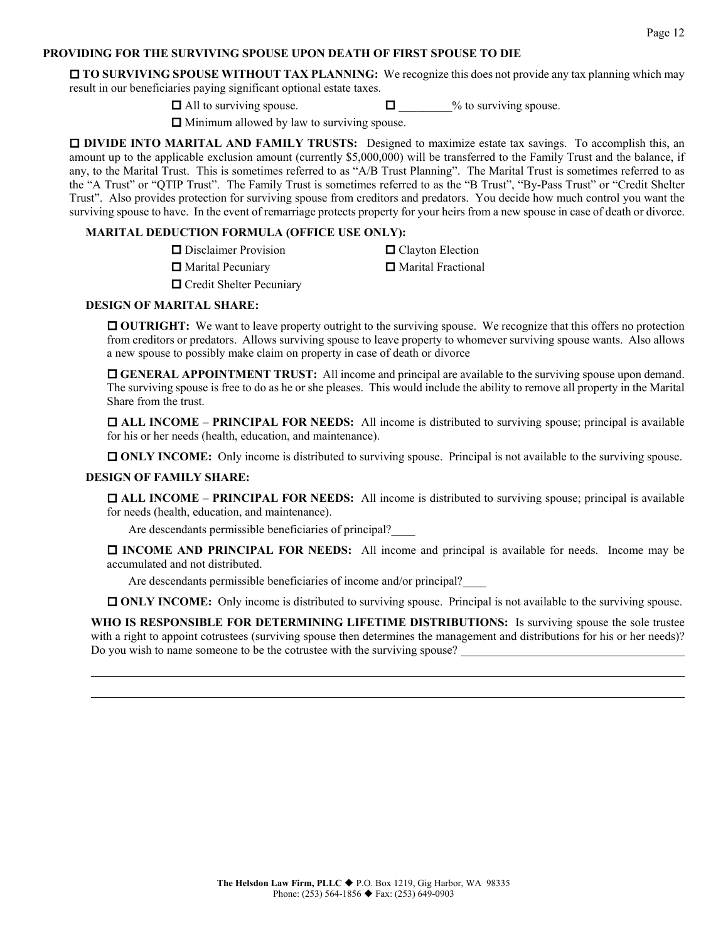#### **PROVIDING FOR THE SURVIVING SPOUSE UPON DEATH OF FIRST SPOUSE TO DIE**

**TO SURVIVING SPOUSE WITHOUT TAX PLANNING:** We recognize this does not provide any tax planning which may result in our beneficiaries paying significant optional estate taxes.

 $\Box$  All to surviving spouse.  $\Box$   $\Box$  % to surviving spouse.

 $\Box$  Minimum allowed by law to surviving spouse.

**DIVIDE INTO MARITAL AND FAMILY TRUSTS:** Designed to maximize estate tax savings. To accomplish this, an amount up to the applicable exclusion amount (currently \$5,000,000) will be transferred to the Family Trust and the balance, if any, to the Marital Trust. This is sometimes referred to as "A/B Trust Planning". The Marital Trust is sometimes referred to as the "A Trust" or "QTIP Trust". The Family Trust is sometimes referred to as the "B Trust", "By-Pass Trust" or "Credit Shelter Trust". Also provides protection for surviving spouse from creditors and predators. You decide how much control you want the surviving spouse to have. In the event of remarriage protects property for your heirs from a new spouse in case of death or divorce.

#### **MARITAL DEDUCTION FORMULA (OFFICE USE ONLY):**

| $\Box$ Disclaimer Provision     | □ Clayton Election   |
|---------------------------------|----------------------|
| $\Box$ Marital Pecuniary        | □ Marital Fractional |
| $\Box$ Credit Shelter Pecuniary |                      |

#### **DESIGN OF MARITAL SHARE:**

**OUTRIGHT:** We want to leave property outright to the surviving spouse. We recognize that this offers no protection from creditors or predators. Allows surviving spouse to leave property to whomever surviving spouse wants. Also allows a new spouse to possibly make claim on property in case of death or divorce

 **GENERAL APPOINTMENT TRUST:** All income and principal are available to the surviving spouse upon demand. The surviving spouse is free to do as he or she pleases. This would include the ability to remove all property in the Marital Share from the trust.

 **ALL INCOME – PRINCIPAL FOR NEEDS:** All income is distributed to surviving spouse; principal is available for his or her needs (health, education, and maintenance).

**ONLY INCOME:** Only income is distributed to surviving spouse. Principal is not available to the surviving spouse.

#### **DESIGN OF FAMILY SHARE:**

 **ALL INCOME – PRINCIPAL FOR NEEDS:** All income is distributed to surviving spouse; principal is available for needs (health, education, and maintenance).

Are descendants permissible beneficiaries of principal?\_\_\_\_

 **INCOME AND PRINCIPAL FOR NEEDS:** All income and principal is available for needs. Income may be accumulated and not distributed.

Are descendants permissible beneficiaries of income and/or principal?\_\_\_\_

**ONLY INCOME:** Only income is distributed to surviving spouse. Principal is not available to the surviving spouse.

WHO IS RESPONSIBLE FOR DETERMINING LIFETIME DISTRIBUTIONS: Is surviving spouse the sole trustee with a right to appoint cotrustees (surviving spouse then determines the management and distributions for his or her needs)? Do you wish to name someone to be the cotrustee with the surviving spouse?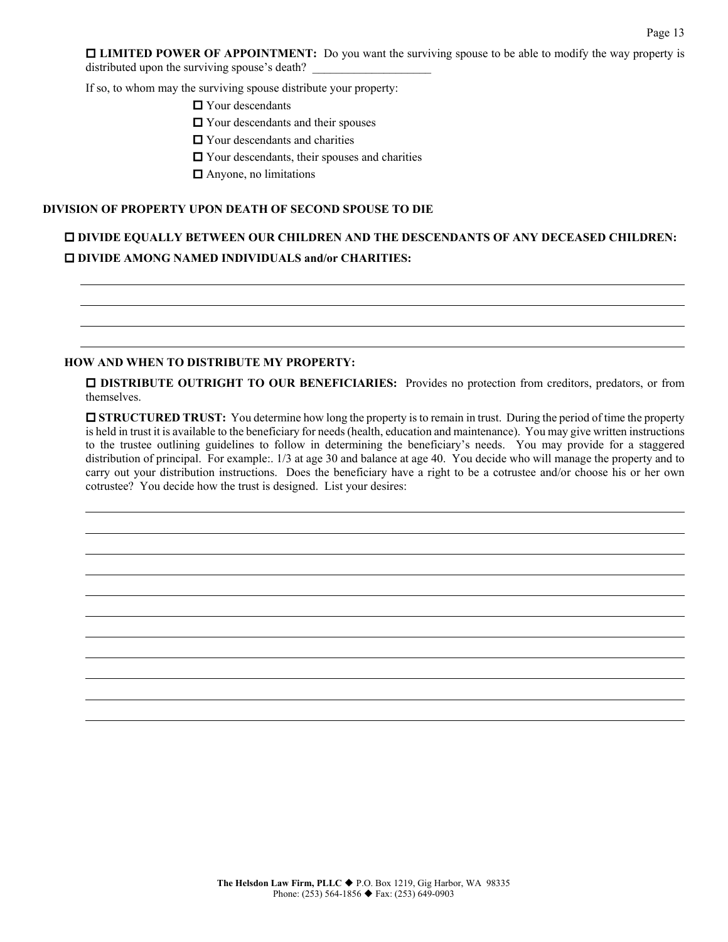**LIMITED POWER OF APPOINTMENT:** Do you want the surviving spouse to be able to modify the way property is distributed upon the surviving spouse's death?

If so, to whom may the surviving spouse distribute your property:

■ Your descendants

 $\Box$  Your descendants and their spouses

 $\Box$  Your descendants and charities

Your descendants, their spouses and charities

**□** Anyone, no limitations

#### **DIVISION OF PROPERTY UPON DEATH OF SECOND SPOUSE TO DIE**

# **DIVIDE EQUALLY BETWEEN OUR CHILDREN AND THE DESCENDANTS OF ANY DECEASED CHILDREN: DIVIDE AMONG NAMED INDIVIDUALS and/or CHARITIES:**

#### **HOW AND WHEN TO DISTRIBUTE MY PROPERTY:**

 **DISTRIBUTE OUTRIGHT TO OUR BENEFICIARIES:** Provides no protection from creditors, predators, or from themselves.

 **STRUCTURED TRUST:** You determine how long the property is to remain in trust. During the period of time the property is held in trust it is available to the beneficiary for needs (health, education and maintenance). You may give written instructions to the trustee outlining guidelines to follow in determining the beneficiary's needs. You may provide for a staggered distribution of principal. For example:. 1/3 at age 30 and balance at age 40. You decide who will manage the property and to carry out your distribution instructions. Does the beneficiary have a right to be a cotrustee and/or choose his or her own cotrustee? You decide how the trust is designed. List your desires: